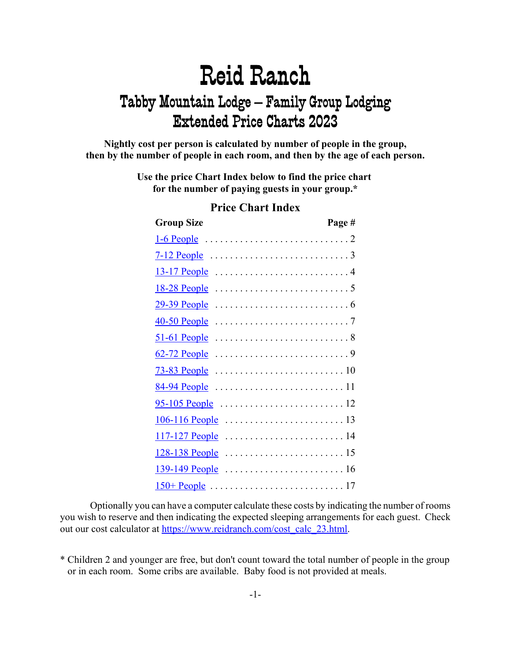**Nightly cost per person is calculated by number of people in the group, then by the number of people in each room, and then by the age of each person.**

> **Use the price Chart Index below to find the price chart for the number of paying guests in your group.\***

| <b>Group Size</b>                                                                   | Page # |
|-------------------------------------------------------------------------------------|--------|
| $1-6$ People $\dots\dots\dots\dots\dots\dots\dots\dots\dots\dots$                   |        |
|                                                                                     |        |
|                                                                                     |        |
|                                                                                     |        |
|                                                                                     |        |
|                                                                                     |        |
|                                                                                     |        |
|                                                                                     |        |
|                                                                                     |        |
|                                                                                     |        |
|                                                                                     |        |
| $106 - 116$ People $\dots \dots \dots \dots \dots \dots \dots \dots \dots \dots 13$ |        |
|                                                                                     |        |
|                                                                                     |        |
|                                                                                     |        |
|                                                                                     |        |

#### **Price Chart Index**

Optionally you can have a computer calculate these costs by indicating the number of rooms you wish to reserve and then indicating the expected sleeping arrangements for each guest. Check out our cost calculator at https://www.reidranch.com/cost\_calc\_23.html.

<sup>\*</sup> Children 2 and younger are free, but don't count toward the total number of people in the group or in each room. Some cribs are available. Baby food is not provided at meals.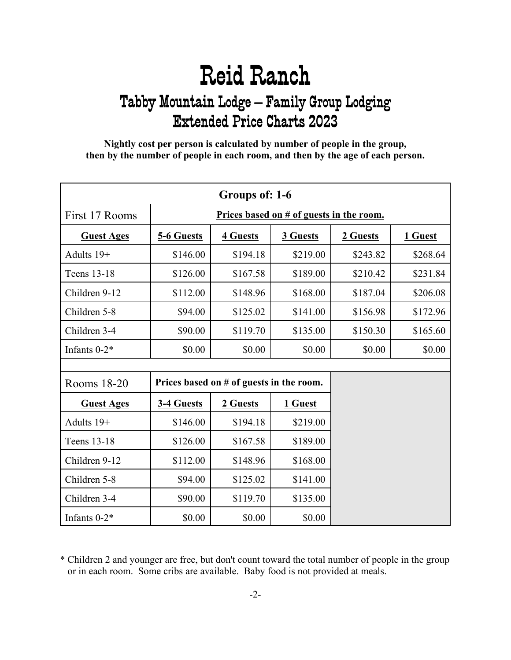<span id="page-1-0"></span>**Nightly cost per person is calculated by number of people in the group, then by the number of people in each room, and then by the age of each person.**

| Groups of: 1-6    |            |                                            |          |          |          |  |  |  |
|-------------------|------------|--------------------------------------------|----------|----------|----------|--|--|--|
| First 17 Rooms    |            | Prices based on # of guests in the room.   |          |          |          |  |  |  |
| <b>Guest Ages</b> | 5-6 Guests | <b>4 Guests</b><br>3 Guests<br>2 Guests    |          |          |          |  |  |  |
| Adults 19+        | \$146.00   | \$194.18                                   | \$219.00 | \$243.82 | \$268.64 |  |  |  |
| Teens 13-18       | \$126.00   | \$167.58                                   | \$189.00 | \$210.42 | \$231.84 |  |  |  |
| Children 9-12     | \$112.00   | \$148.96                                   | \$168.00 | \$187.04 | \$206.08 |  |  |  |
| Children 5-8      | \$94.00    | \$125.02                                   | \$141.00 | \$156.98 | \$172.96 |  |  |  |
| Children 3-4      | \$90.00    | \$119.70                                   | \$135.00 | \$150.30 | \$165.60 |  |  |  |
| Infants 0-2*      | \$0.00     | \$0.00                                     | \$0.00   | \$0.00   | \$0.00   |  |  |  |
|                   |            |                                            |          |          |          |  |  |  |
| Rooms 18-20       |            | Prices based on $#$ of guests in the room. |          |          |          |  |  |  |
| <b>Guest Ages</b> | 3-4 Guests | 2 Guests                                   | 1 Guest  |          |          |  |  |  |
| Adults 19+        | \$146.00   | \$194.18                                   | \$219.00 |          |          |  |  |  |
| Teens 13-18       | \$126.00   | \$167.58                                   | \$189.00 |          |          |  |  |  |
| Children 9-12     | \$112.00   | \$148.96                                   | \$168.00 |          |          |  |  |  |
| Children 5-8      | \$94.00    | \$125.02                                   | \$141.00 |          |          |  |  |  |
| Children 3-4      | \$90.00    | \$119.70                                   | \$135.00 |          |          |  |  |  |
| Infants $0-2*$    | \$0.00     | \$0.00                                     | \$0.00   |          |          |  |  |  |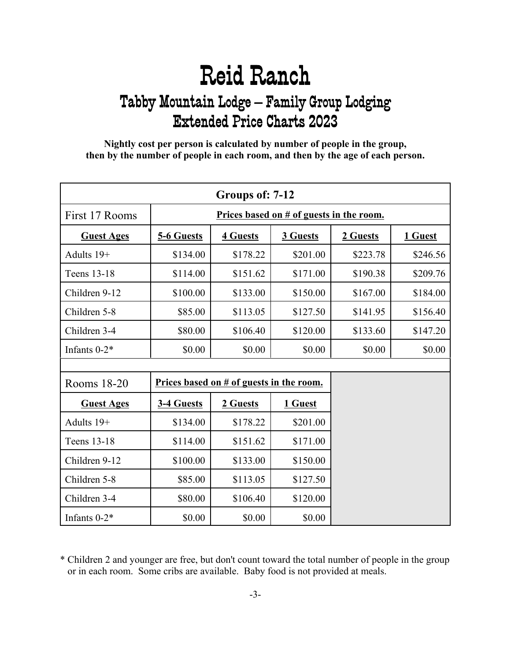<span id="page-2-0"></span>**Nightly cost per person is calculated by number of people in the group, then by the number of people in each room, and then by the age of each person.**

| Groups of: 7-12   |            |                                            |          |          |          |  |
|-------------------|------------|--------------------------------------------|----------|----------|----------|--|
| First 17 Rooms    |            | Prices based on $#$ of guests in the room. |          |          |          |  |
| <b>Guest Ages</b> | 5-6 Guests | <b>4 Guests</b>                            | 2 Guests | 1 Guest  |          |  |
| Adults 19+        | \$134.00   | \$178.22                                   | \$201.00 | \$223.78 | \$246.56 |  |
| Teens 13-18       | \$114.00   | \$151.62                                   | \$171.00 | \$190.38 | \$209.76 |  |
| Children 9-12     | \$100.00   | \$133.00                                   | \$150.00 | \$167.00 | \$184.00 |  |
| Children 5-8      | \$85.00    | \$113.05                                   | \$127.50 | \$141.95 | \$156.40 |  |
| Children 3-4      | \$80.00    | \$106.40                                   | \$120.00 | \$133.60 | \$147.20 |  |
| Infants $0-2^*$   | \$0.00     | \$0.00                                     | \$0.00   | \$0.00   | \$0.00   |  |
|                   |            |                                            |          |          |          |  |
| Rooms 18-20       |            | Prices based on # of guests in the room.   |          |          |          |  |
| <b>Guest Ages</b> | 3-4 Guests | 2 Guests                                   | 1 Guest  |          |          |  |
| Adults 19+        | \$134.00   | \$178.22                                   | \$201.00 |          |          |  |
| Teens 13-18       | \$114.00   | \$151.62                                   | \$171.00 |          |          |  |
| Children 9-12     | \$100.00   | \$133.00                                   | \$150.00 |          |          |  |
| Children 5-8      | \$85.00    | \$113.05                                   | \$127.50 |          |          |  |
| Children 3-4      | \$80.00    | \$106.40                                   | \$120.00 |          |          |  |
| Infants $0-2*$    | \$0.00     | \$0.00                                     | \$0.00   |          |          |  |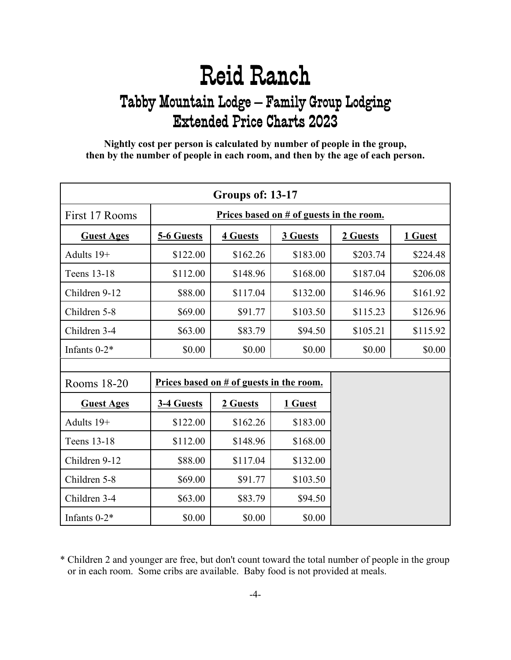<span id="page-3-0"></span>**Nightly cost per person is calculated by number of people in the group, then by the number of people in each room, and then by the age of each person.**

| Groups of: 13-17  |            |                                            |          |          |          |  |
|-------------------|------------|--------------------------------------------|----------|----------|----------|--|
| First 17 Rooms    |            | Prices based on # of guests in the room.   |          |          |          |  |
| <b>Guest Ages</b> | 5-6 Guests | <b>4 Guests</b>                            | 3 Guests | 2 Guests | 1 Guest  |  |
| Adults 19+        | \$122.00   | \$162.26                                   | \$183.00 | \$203.74 | \$224.48 |  |
| Teens 13-18       | \$112.00   | \$148.96                                   | \$168.00 | \$187.04 | \$206.08 |  |
| Children 9-12     | \$88.00    | \$117.04                                   | \$132.00 | \$146.96 | \$161.92 |  |
| Children 5-8      | \$69.00    | \$91.77                                    | \$103.50 | \$115.23 | \$126.96 |  |
| Children 3-4      | \$63.00    | \$83.79                                    | \$94.50  | \$105.21 | \$115.92 |  |
| Infants 0-2*      | \$0.00     | \$0.00                                     | \$0.00   | \$0.00   | \$0.00   |  |
|                   |            |                                            |          |          |          |  |
| Rooms 18-20       |            | Prices based on $#$ of guests in the room. |          |          |          |  |
| <b>Guest Ages</b> | 3-4 Guests | 2 Guests                                   | 1 Guest  |          |          |  |
| Adults 19+        | \$122.00   | \$162.26                                   | \$183.00 |          |          |  |
| Teens 13-18       | \$112.00   | \$148.96                                   | \$168.00 |          |          |  |
| Children 9-12     | \$88.00    | \$117.04                                   | \$132.00 |          |          |  |
| Children 5-8      | \$69.00    | \$91.77                                    | \$103.50 |          |          |  |
| Children 3-4      | \$63.00    | \$83.79                                    | \$94.50  |          |          |  |
| Infants $0-2*$    | \$0.00     | \$0.00                                     | \$0.00   |          |          |  |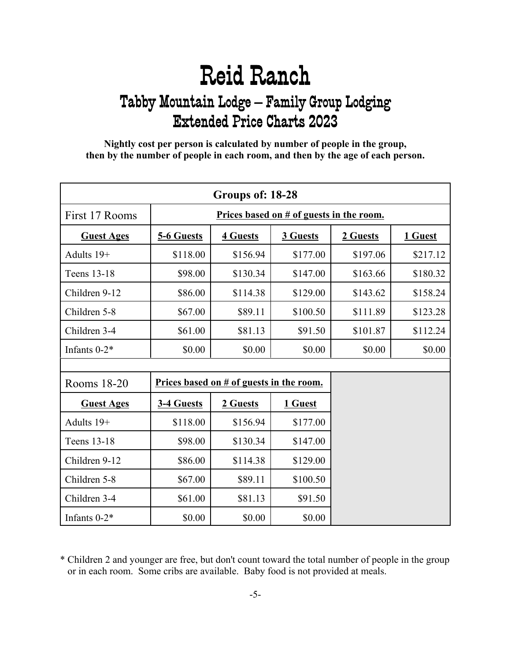<span id="page-4-0"></span>**Nightly cost per person is calculated by number of people in the group, then by the number of people in each room, and then by the age of each person.**

| Groups of: 18-28  |            |                                            |          |          |          |  |
|-------------------|------------|--------------------------------------------|----------|----------|----------|--|
| First 17 Rooms    |            | Prices based on $#$ of guests in the room. |          |          |          |  |
| <b>Guest Ages</b> | 5-6 Guests | <b>4 Guests</b>                            | 3 Guests | 2 Guests | 1 Guest  |  |
| Adults 19+        | \$118.00   | \$156.94                                   | \$177.00 | \$197.06 | \$217.12 |  |
| Teens 13-18       | \$98.00    | \$130.34                                   | \$147.00 | \$163.66 | \$180.32 |  |
| Children 9-12     | \$86.00    | \$114.38                                   | \$129.00 | \$143.62 | \$158.24 |  |
| Children 5-8      | \$67.00    | \$89.11                                    | \$100.50 | \$111.89 | \$123.28 |  |
| Children 3-4      | \$61.00    | \$81.13                                    | \$91.50  | \$101.87 | \$112.24 |  |
| Infants $0-2^*$   | \$0.00     | \$0.00                                     | \$0.00   | \$0.00   | \$0.00   |  |
|                   |            |                                            |          |          |          |  |
| Rooms 18-20       |            | Prices based on # of guests in the room.   |          |          |          |  |
| <b>Guest Ages</b> | 3-4 Guests | 2 Guests                                   | 1 Guest  |          |          |  |
| Adults 19+        | \$118.00   | \$156.94                                   | \$177.00 |          |          |  |
| Teens 13-18       | \$98.00    | \$130.34                                   | \$147.00 |          |          |  |
| Children 9-12     | \$86.00    | \$114.38                                   | \$129.00 |          |          |  |
| Children 5-8      | \$67.00    | \$89.11                                    | \$100.50 |          |          |  |
| Children 3-4      | \$61.00    | \$81.13                                    | \$91.50  |          |          |  |
| Infants $0-2*$    | \$0.00     | \$0.00                                     | \$0.00   |          |          |  |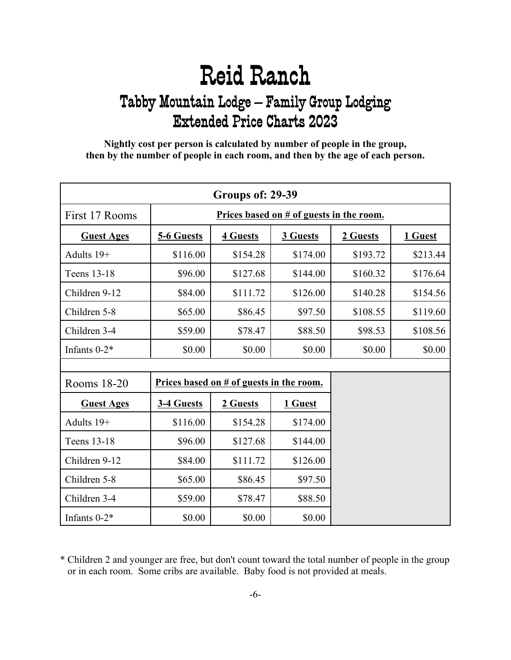<span id="page-5-0"></span>**Nightly cost per person is calculated by number of people in the group, then by the number of people in each room, and then by the age of each person.**

| Groups of: 29-39  |            |                                            |          |          |          |  |
|-------------------|------------|--------------------------------------------|----------|----------|----------|--|
| First 17 Rooms    |            | Prices based on $#$ of guests in the room. |          |          |          |  |
| <b>Guest Ages</b> | 5-6 Guests | <b>4 Guests</b>                            | 3 Guests | 2 Guests | 1 Guest  |  |
| Adults 19+        | \$116.00   | \$154.28                                   | \$174.00 | \$193.72 | \$213.44 |  |
| Teens 13-18       | \$96.00    | \$127.68                                   | \$144.00 | \$160.32 | \$176.64 |  |
| Children 9-12     | \$84.00    | \$111.72                                   | \$126.00 | \$140.28 | \$154.56 |  |
| Children 5-8      | \$65.00    | \$86.45                                    | \$97.50  | \$108.55 | \$119.60 |  |
| Children 3-4      | \$59.00    | \$78.47                                    | \$88.50  | \$98.53  | \$108.56 |  |
| Infants $0-2^*$   | \$0.00     | \$0.00                                     | \$0.00   | \$0.00   | \$0.00   |  |
|                   |            |                                            |          |          |          |  |
| Rooms 18-20       |            | Prices based on # of guests in the room.   |          |          |          |  |
| <b>Guest Ages</b> | 3-4 Guests | 2 Guests                                   | 1 Guest  |          |          |  |
| Adults 19+        | \$116.00   | \$154.28                                   | \$174.00 |          |          |  |
| Teens 13-18       | \$96.00    | \$127.68                                   | \$144.00 |          |          |  |
| Children 9-12     | \$84.00    | \$111.72                                   | \$126.00 |          |          |  |
| Children 5-8      | \$65.00    | \$86.45                                    | \$97.50  |          |          |  |
| Children 3-4      | \$59.00    | \$78.47                                    | \$88.50  |          |          |  |
| Infants $0-2*$    | \$0.00     | \$0.00                                     | \$0.00   |          |          |  |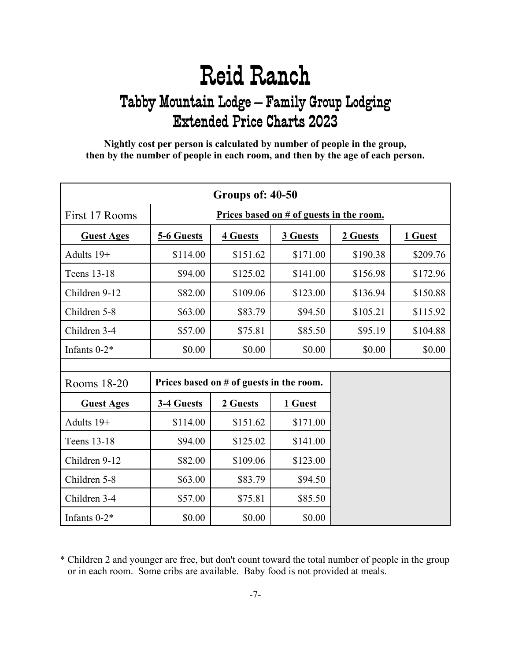<span id="page-6-0"></span>**Nightly cost per person is calculated by number of people in the group, then by the number of people in each room, and then by the age of each person.**

| Groups of: 40-50  |            |                                                    |          |          |          |  |  |
|-------------------|------------|----------------------------------------------------|----------|----------|----------|--|--|
| First 17 Rooms    |            | Prices based on # of guests in the room.           |          |          |          |  |  |
| <b>Guest Ages</b> | 5-6 Guests | <b>4 Guests</b><br>3 Guests<br>2 Guests<br>1 Guest |          |          |          |  |  |
| Adults 19+        | \$114.00   | \$151.62                                           | \$171.00 | \$190.38 | \$209.76 |  |  |
| Teens 13-18       | \$94.00    | \$125.02                                           | \$141.00 | \$156.98 | \$172.96 |  |  |
| Children 9-12     | \$82.00    | \$109.06                                           | \$123.00 | \$136.94 | \$150.88 |  |  |
| Children 5-8      | \$63.00    | \$83.79                                            | \$94.50  | \$105.21 | \$115.92 |  |  |
| Children 3-4      | \$57.00    | \$75.81                                            | \$85.50  | \$95.19  | \$104.88 |  |  |
| Infants 0-2*      | \$0.00     | \$0.00                                             | \$0.00   | \$0.00   | \$0.00   |  |  |
|                   |            |                                                    |          |          |          |  |  |
| Rooms 18-20       |            | Prices based on $#$ of guests in the room.         |          |          |          |  |  |
| <b>Guest Ages</b> | 3-4 Guests | 2 Guests                                           | 1 Guest  |          |          |  |  |
| Adults 19+        | \$114.00   | \$151.62                                           | \$171.00 |          |          |  |  |
| Teens 13-18       | \$94.00    | \$125.02                                           | \$141.00 |          |          |  |  |
| Children 9-12     | \$82.00    | \$109.06                                           | \$123.00 |          |          |  |  |
| Children 5-8      | \$63.00    | \$83.79                                            | \$94.50  |          |          |  |  |
| Children 3-4      | \$57.00    | \$75.81                                            | \$85.50  |          |          |  |  |
| Infants $0-2*$    | \$0.00     | \$0.00                                             | \$0.00   |          |          |  |  |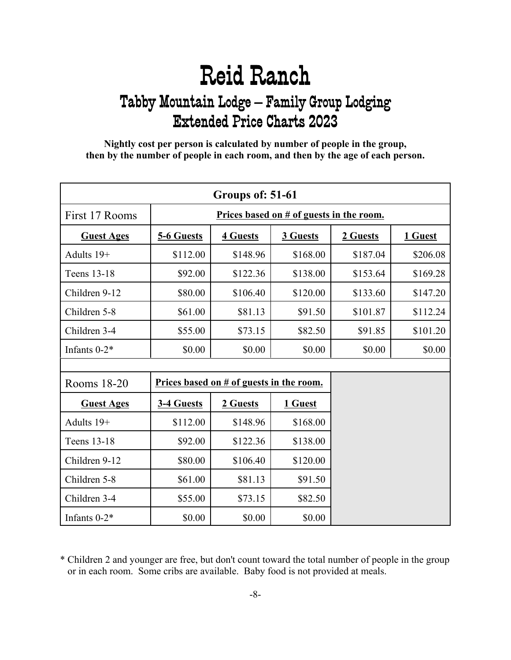<span id="page-7-0"></span>**Nightly cost per person is calculated by number of people in the group, then by the number of people in each room, and then by the age of each person.**

| Groups of: 51-61  |            |                                            |          |          |          |  |
|-------------------|------------|--------------------------------------------|----------|----------|----------|--|
| First 17 Rooms    |            | Prices based on # of guests in the room.   |          |          |          |  |
| <b>Guest Ages</b> | 5-6 Guests | <b>4 Guests</b>                            | 3 Guests | 2 Guests | 1 Guest  |  |
| Adults 19+        | \$112.00   | \$148.96                                   | \$168.00 | \$187.04 | \$206.08 |  |
| Teens 13-18       | \$92.00    | \$122.36                                   | \$138.00 | \$153.64 | \$169.28 |  |
| Children 9-12     | \$80.00    | \$106.40                                   | \$120.00 | \$133.60 | \$147.20 |  |
| Children 5-8      | \$61.00    | \$81.13                                    | \$91.50  | \$101.87 | \$112.24 |  |
| Children 3-4      | \$55.00    | \$73.15                                    | \$82.50  | \$91.85  | \$101.20 |  |
| Infants 0-2*      | \$0.00     | \$0.00                                     | \$0.00   | \$0.00   | \$0.00   |  |
|                   |            |                                            |          |          |          |  |
| Rooms 18-20       |            | Prices based on $#$ of guests in the room. |          |          |          |  |
| <b>Guest Ages</b> | 3-4 Guests | 2 Guests                                   | 1 Guest  |          |          |  |
| Adults 19+        | \$112.00   | \$148.96                                   | \$168.00 |          |          |  |
| Teens 13-18       | \$92.00    | \$122.36                                   | \$138.00 |          |          |  |
| Children 9-12     | \$80.00    | \$106.40                                   | \$120.00 |          |          |  |
| Children 5-8      | \$61.00    | \$81.13                                    | \$91.50  |          |          |  |
| Children 3-4      | \$55.00    | \$73.15                                    | \$82.50  |          |          |  |
| Infants $0-2^*$   | \$0.00     | \$0.00                                     | \$0.00   |          |          |  |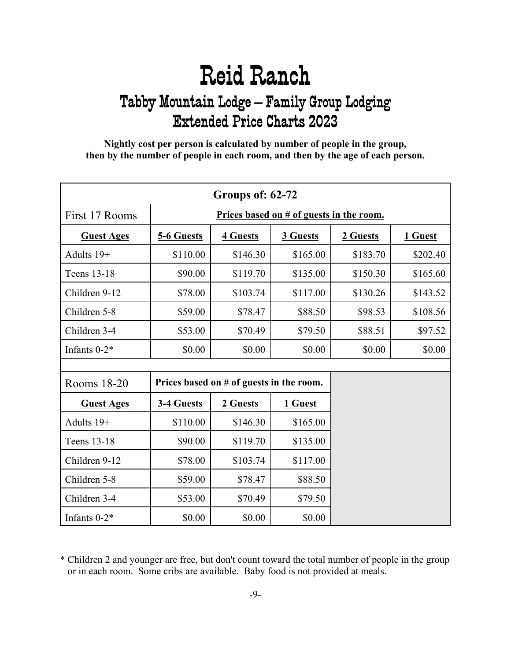<span id="page-8-0"></span>**Nightly cost per person is calculated by number of people in the group, then by the number of people in each room, and then by the age of each person.**

| Groups of: 62-72  |            |                                            |          |          |          |  |
|-------------------|------------|--------------------------------------------|----------|----------|----------|--|
| First 17 Rooms    |            | Prices based on # of guests in the room.   |          |          |          |  |
| <b>Guest Ages</b> | 5-6 Guests | <b>4 Guests</b>                            | 3 Guests | 2 Guests | 1 Guest  |  |
| Adults 19+        | \$110.00   | \$146.30                                   | \$165.00 | \$183.70 | \$202.40 |  |
| Teens 13-18       | \$90.00    | \$119.70                                   | \$135.00 | \$150.30 | \$165.60 |  |
| Children 9-12     | \$78.00    | \$103.74                                   | \$117.00 | \$130.26 | \$143.52 |  |
| Children 5-8      | \$59.00    | \$78.47                                    | \$88.50  | \$98.53  | \$108.56 |  |
| Children 3-4      | \$53.00    | \$70.49                                    | \$79.50  | \$88.51  | \$97.52  |  |
| Infants 0-2*      | \$0.00     | \$0.00                                     | \$0.00   | \$0.00   | \$0.00   |  |
|                   |            |                                            |          |          |          |  |
| Rooms 18-20       |            | Prices based on $#$ of guests in the room. |          |          |          |  |
| <b>Guest Ages</b> | 3-4 Guests | 2 Guests                                   | 1 Guest  |          |          |  |
| Adults 19+        | \$110.00   | \$146.30                                   | \$165.00 |          |          |  |
| Teens 13-18       | \$90.00    | \$119.70                                   | \$135.00 |          |          |  |
| Children 9-12     | \$78.00    | \$103.74                                   | \$117.00 |          |          |  |
| Children 5-8      | \$59.00    | \$78.47                                    | \$88.50  |          |          |  |
| Children 3-4      | \$53.00    | \$70.49                                    | \$79.50  |          |          |  |
| Infants $0-2*$    | \$0.00     | \$0.00                                     | \$0.00   |          |          |  |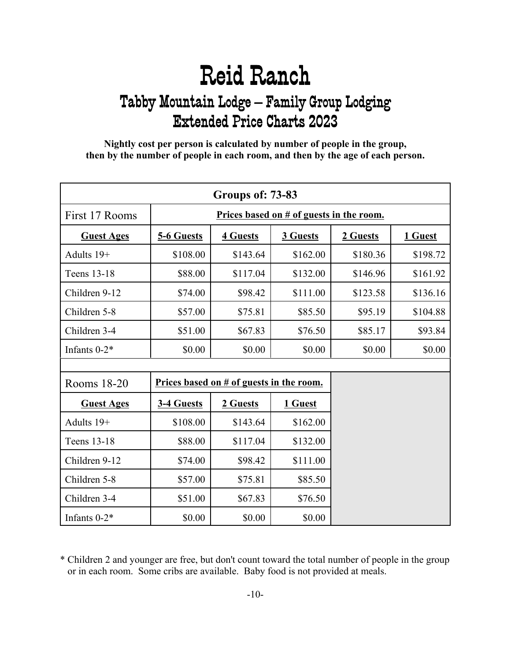<span id="page-9-0"></span>**Nightly cost per person is calculated by number of people in the group, then by the number of people in each room, and then by the age of each person.**

| <b>Groups of: 73-83</b> |            |                                          |          |          |          |  |
|-------------------------|------------|------------------------------------------|----------|----------|----------|--|
| First 17 Rooms          |            | Prices based on # of guests in the room. |          |          |          |  |
| <b>Guest Ages</b>       | 5-6 Guests | <b>4 Guests</b>                          | 3 Guests | 2 Guests | 1 Guest  |  |
| Adults 19+              | \$108.00   | \$143.64                                 | \$162.00 | \$180.36 | \$198.72 |  |
| Teens 13-18             | \$88.00    | \$117.04                                 | \$132.00 | \$146.96 | \$161.92 |  |
| Children 9-12           | \$74.00    | \$98.42                                  | \$111.00 | \$123.58 | \$136.16 |  |
| Children 5-8            | \$57.00    | \$75.81                                  | \$85.50  | \$95.19  | \$104.88 |  |
| Children 3-4            | \$51.00    | \$67.83                                  | \$76.50  | \$85.17  | \$93.84  |  |
| Infants 0-2*            | \$0.00     | \$0.00                                   | \$0.00   | \$0.00   | \$0.00   |  |
|                         |            |                                          |          |          |          |  |
| Rooms 18-20             |            | Prices based on # of guests in the room. |          |          |          |  |
| <b>Guest Ages</b>       | 3-4 Guests | 2 Guests                                 | 1 Guest  |          |          |  |
| Adults 19+              | \$108.00   | \$143.64                                 | \$162.00 |          |          |  |
| Teens 13-18             | \$88.00    | \$117.04                                 | \$132.00 |          |          |  |
| Children 9-12           | \$74.00    | \$98.42                                  | \$111.00 |          |          |  |
| Children 5-8            | \$57.00    | \$75.81                                  | \$85.50  |          |          |  |
| Children 3-4            | \$51.00    | \$67.83                                  | \$76.50  |          |          |  |
| Infants $0-2*$          | \$0.00     | \$0.00                                   | \$0.00   |          |          |  |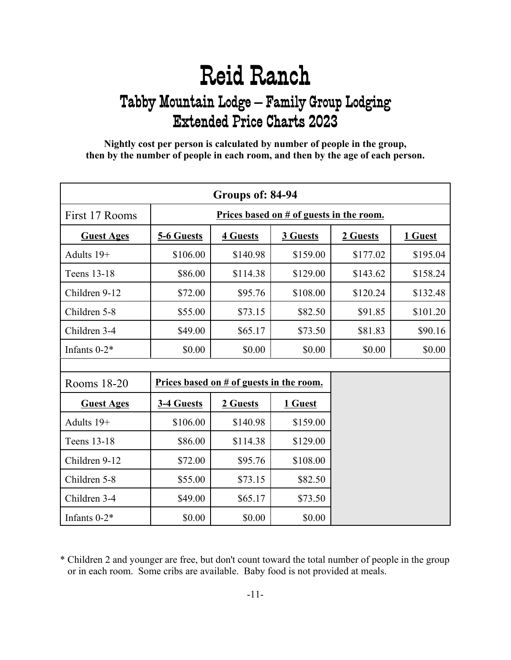<span id="page-10-0"></span>**Nightly cost per person is calculated by number of people in the group, then by the number of people in each room, and then by the age of each person.**

| Groups of: 84-94  |            |                                            |          |          |          |  |
|-------------------|------------|--------------------------------------------|----------|----------|----------|--|
| First 17 Rooms    |            | Prices based on $#$ of guests in the room. |          |          |          |  |
| <b>Guest Ages</b> | 5-6 Guests | <b>4 Guests</b>                            | 3 Guests | 2 Guests | 1 Guest  |  |
| Adults 19+        | \$106.00   | \$140.98                                   | \$159.00 | \$177.02 | \$195.04 |  |
| Teens 13-18       | \$86.00    | \$114.38                                   | \$129.00 | \$143.62 | \$158.24 |  |
| Children 9-12     | \$72.00    | \$95.76                                    | \$108.00 | \$120.24 | \$132.48 |  |
| Children 5-8      | \$55.00    | \$73.15                                    | \$82.50  | \$91.85  | \$101.20 |  |
| Children 3-4      | \$49.00    | \$65.17                                    | \$73.50  | \$81.83  | \$90.16  |  |
| Infants $0-2^*$   | \$0.00     | \$0.00                                     | \$0.00   | \$0.00   | \$0.00   |  |
|                   |            |                                            |          |          |          |  |
| Rooms 18-20       |            | Prices based on # of guests in the room.   |          |          |          |  |
| <b>Guest Ages</b> | 3-4 Guests | 2 Guests                                   | 1 Guest  |          |          |  |
| Adults 19+        | \$106.00   | \$140.98                                   | \$159.00 |          |          |  |
| Teens 13-18       | \$86.00    | \$114.38                                   | \$129.00 |          |          |  |
| Children 9-12     | \$72.00    | \$95.76                                    | \$108.00 |          |          |  |
| Children 5-8      | \$55.00    | \$73.15                                    | \$82.50  |          |          |  |
| Children 3-4      | \$49.00    | \$65.17                                    | \$73.50  |          |          |  |
| Infants $0-2*$    | \$0.00     | \$0.00                                     | \$0.00   |          |          |  |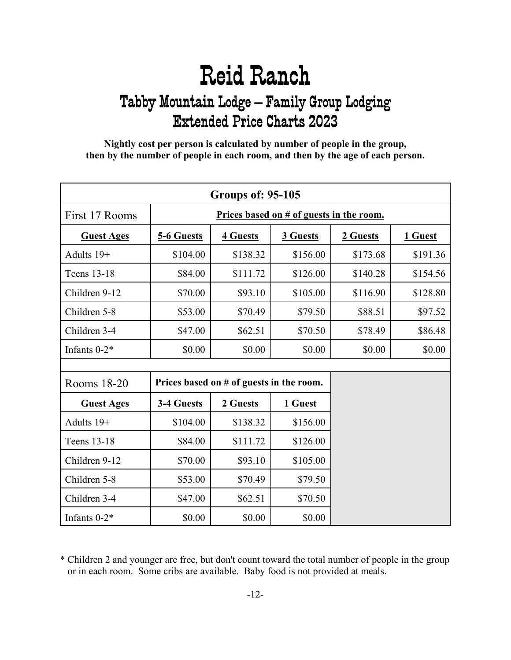<span id="page-11-0"></span>**Nightly cost per person is calculated by number of people in the group, then by the number of people in each room, and then by the age of each person.**

| <b>Groups of: 95-105</b> |            |                                            |          |          |          |  |
|--------------------------|------------|--------------------------------------------|----------|----------|----------|--|
| First 17 Rooms           |            | Prices based on # of guests in the room.   |          |          |          |  |
| <b>Guest Ages</b>        | 5-6 Guests | <b>4 Guests</b>                            | 3 Guests | 2 Guests | 1 Guest  |  |
| Adults 19+               | \$104.00   | \$138.32                                   | \$156.00 | \$173.68 | \$191.36 |  |
| Teens 13-18              | \$84.00    | \$111.72                                   | \$126.00 | \$140.28 | \$154.56 |  |
| Children 9-12            | \$70.00    | \$93.10                                    | \$105.00 | \$116.90 | \$128.80 |  |
| Children 5-8             | \$53.00    | \$70.49                                    | \$79.50  | \$88.51  | \$97.52  |  |
| Children 3-4             | \$47.00    | \$62.51                                    | \$70.50  | \$78.49  | \$86.48  |  |
| Infants 0-2*             | \$0.00     | \$0.00                                     | \$0.00   | \$0.00   | \$0.00   |  |
|                          |            |                                            |          |          |          |  |
| Rooms 18-20              |            | Prices based on $#$ of guests in the room. |          |          |          |  |
| <b>Guest Ages</b>        | 3-4 Guests | 2 Guests                                   | 1 Guest  |          |          |  |
| Adults 19+               | \$104.00   | \$138.32                                   | \$156.00 |          |          |  |
| Teens 13-18              | \$84.00    | \$111.72                                   | \$126.00 |          |          |  |
| Children 9-12            | \$70.00    | \$93.10                                    | \$105.00 |          |          |  |
| Children 5-8             | \$53.00    | \$70.49                                    | \$79.50  |          |          |  |
| Children 3-4             | \$47.00    | \$62.51                                    | \$70.50  |          |          |  |
| Infants 0-2*             | \$0.00     | \$0.00                                     | \$0.00   |          |          |  |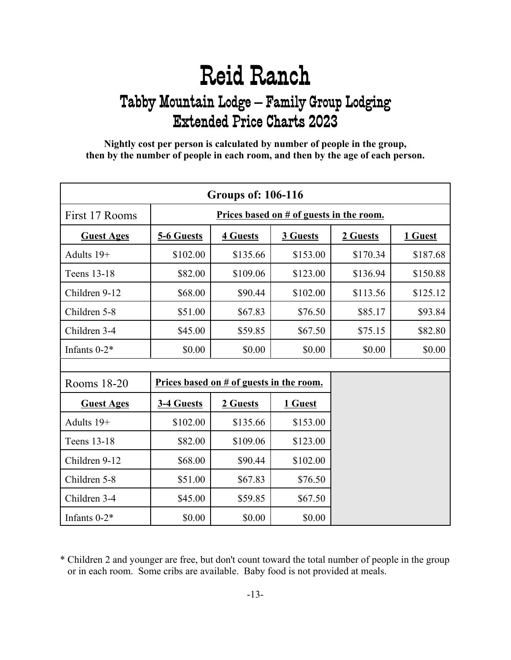<span id="page-12-0"></span>**Nightly cost per person is calculated by number of people in the group, then by the number of people in each room, and then by the age of each person.**

| <b>Groups of: 106-116</b> |                                          |                 |          |          |          |
|---------------------------|------------------------------------------|-----------------|----------|----------|----------|
| First 17 Rooms            | Prices based on # of guests in the room. |                 |          |          |          |
| <b>Guest Ages</b>         | 5-6 Guests                               | <b>4 Guests</b> | 3 Guests | 2 Guests | 1 Guest  |
| Adults 19+                | \$102.00                                 | \$135.66        | \$153.00 | \$170.34 | \$187.68 |
| Teens 13-18               | \$82.00                                  | \$109.06        | \$123.00 | \$136.94 | \$150.88 |
| Children 9-12             | \$68.00                                  | \$90.44         | \$102.00 | \$113.56 | \$125.12 |
| Children 5-8              | \$51.00                                  | \$67.83         | \$76.50  | \$85.17  | \$93.84  |
| Children 3-4              | \$45.00                                  | \$59.85         | \$67.50  | \$75.15  | \$82.80  |
| Infants 0-2*              | \$0.00                                   | \$0.00          | \$0.00   | \$0.00   | \$0.00   |
|                           |                                          |                 |          |          |          |
| Rooms 18-20               | Prices based on # of guests in the room. |                 |          |          |          |
| <b>Guest Ages</b>         | 3-4 Guests                               | 2 Guests        | 1 Guest  |          |          |
| Adults 19+                | \$102.00                                 | \$135.66        | \$153.00 |          |          |
| Teens 13-18               | \$82.00                                  | \$109.06        | \$123.00 |          |          |
| Children 9-12             | \$68.00                                  | \$90.44         | \$102.00 |          |          |
| Children 5-8              | \$51.00                                  | \$67.83         | \$76.50  |          |          |
| Children 3-4              | \$45.00                                  | \$59.85         | \$67.50  |          |          |
| Infants $0-2*$            | \$0.00                                   | \$0.00          | \$0.00   |          |          |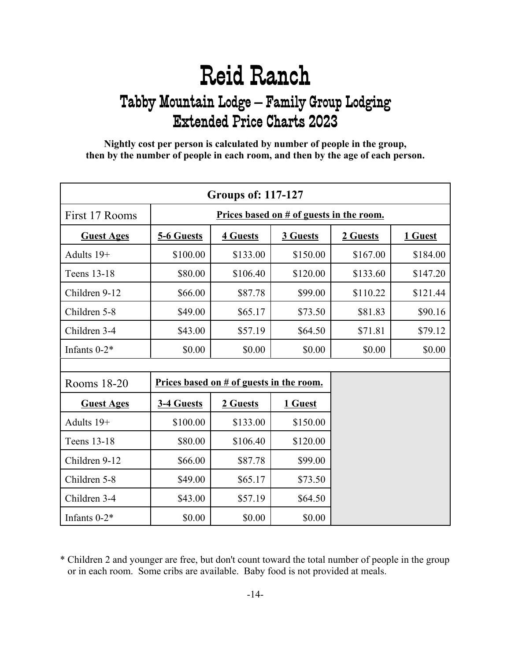<span id="page-13-0"></span>**Nightly cost per person is calculated by number of people in the group, then by the number of people in each room, and then by the age of each person.**

| <b>Groups of: 117-127</b> |                                            |                 |          |          |          |
|---------------------------|--------------------------------------------|-----------------|----------|----------|----------|
| First 17 Rooms            | Prices based on # of guests in the room.   |                 |          |          |          |
| <b>Guest Ages</b>         | 5-6 Guests                                 | <b>4 Guests</b> | 3 Guests | 2 Guests | 1 Guest  |
| Adults 19+                | \$100.00                                   | \$133.00        | \$150.00 | \$167.00 | \$184.00 |
| Teens 13-18               | \$80.00                                    | \$106.40        | \$120.00 | \$133.60 | \$147.20 |
| Children 9-12             | \$66.00                                    | \$87.78         | \$99.00  | \$110.22 | \$121.44 |
| Children 5-8              | \$49.00                                    | \$65.17         | \$73.50  | \$81.83  | \$90.16  |
| Children 3-4              | \$43.00                                    | \$57.19         | \$64.50  | \$71.81  | \$79.12  |
| Infants 0-2*              | \$0.00                                     | \$0.00          | \$0.00   | \$0.00   | \$0.00   |
|                           |                                            |                 |          |          |          |
| Rooms 18-20               | Prices based on $#$ of guests in the room. |                 |          |          |          |
| <b>Guest Ages</b>         | 3-4 Guests                                 | 2 Guests        | 1 Guest  |          |          |
| Adults 19+                | \$100.00                                   | \$133.00        | \$150.00 |          |          |
| Teens 13-18               | \$80.00                                    | \$106.40        | \$120.00 |          |          |
| Children 9-12             | \$66.00                                    | \$87.78         | \$99.00  |          |          |
| Children 5-8              | \$49.00                                    | \$65.17         | \$73.50  |          |          |
| Children 3-4              | \$43.00                                    | \$57.19         | \$64.50  |          |          |
| Infants $0-2*$            | \$0.00                                     | \$0.00          | \$0.00   |          |          |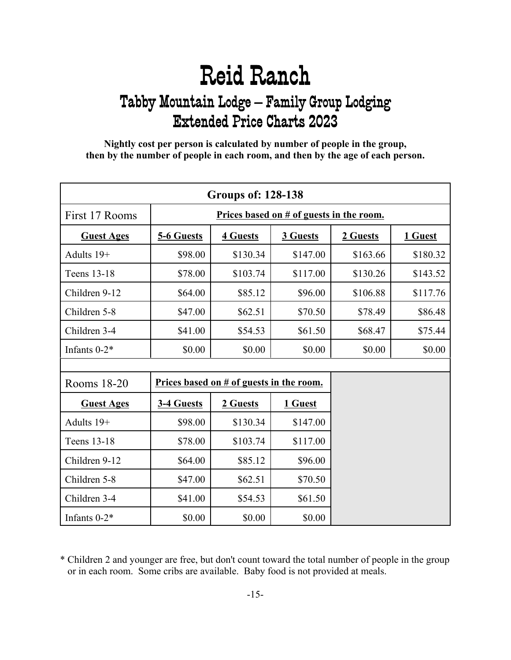<span id="page-14-0"></span>**Nightly cost per person is calculated by number of people in the group, then by the number of people in each room, and then by the age of each person.**

| <b>Groups of: 128-138</b> |                                          |                 |          |          |          |
|---------------------------|------------------------------------------|-----------------|----------|----------|----------|
| First 17 Rooms            | Prices based on # of guests in the room. |                 |          |          |          |
| <b>Guest Ages</b>         | 5-6 Guests                               | <b>4 Guests</b> | 3 Guests | 2 Guests | 1 Guest  |
| Adults 19+                | \$98.00                                  | \$130.34        | \$147.00 | \$163.66 | \$180.32 |
| Teens 13-18               | \$78.00                                  | \$103.74        | \$117.00 | \$130.26 | \$143.52 |
| Children 9-12             | \$64.00                                  | \$85.12         | \$96.00  | \$106.88 | \$117.76 |
| Children 5-8              | \$47.00                                  | \$62.51         | \$70.50  | \$78.49  | \$86.48  |
| Children 3-4              | \$41.00                                  | \$54.53         | \$61.50  | \$68.47  | \$75.44  |
| Infants $0-2^*$           | \$0.00                                   | \$0.00          | \$0.00   | \$0.00   | \$0.00   |
|                           |                                          |                 |          |          |          |
| Rooms 18-20               | Prices based on # of guests in the room. |                 |          |          |          |
| <b>Guest Ages</b>         | 3-4 Guests                               | 2 Guests        | 1 Guest  |          |          |
| Adults 19+                | \$98.00                                  | \$130.34        | \$147.00 |          |          |
| Teens 13-18               | \$78.00                                  | \$103.74        | \$117.00 |          |          |
| Children 9-12             | \$64.00                                  | \$85.12         | \$96.00  |          |          |
| Children 5-8              | \$47.00                                  | \$62.51         | \$70.50  |          |          |
| Children 3-4              | \$41.00                                  | \$54.53         | \$61.50  |          |          |
| Infants $0-2*$            | \$0.00                                   | \$0.00          | \$0.00   |          |          |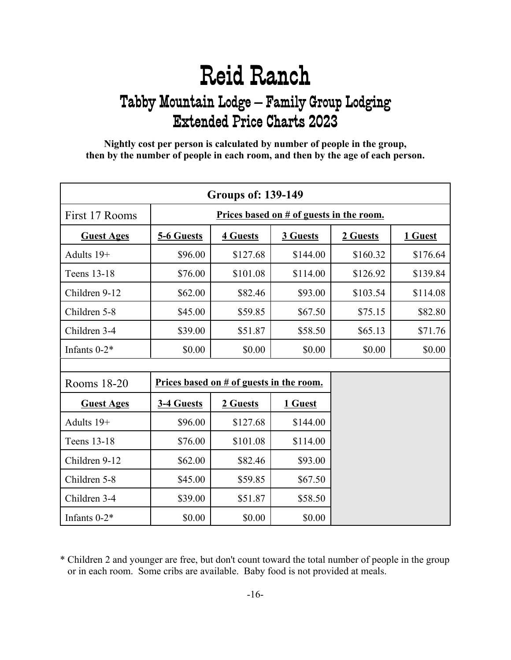<span id="page-15-0"></span>**Nightly cost per person is calculated by number of people in the group, then by the number of people in each room, and then by the age of each person.**

| <b>Groups of: 139-149</b> |                                          |                 |          |          |          |
|---------------------------|------------------------------------------|-----------------|----------|----------|----------|
| First 17 Rooms            | Prices based on # of guests in the room. |                 |          |          |          |
| <b>Guest Ages</b>         | 5-6 Guests                               | <b>4 Guests</b> | 3 Guests | 2 Guests | 1 Guest  |
| Adults 19+                | \$96.00                                  | \$127.68        | \$144.00 | \$160.32 | \$176.64 |
| Teens 13-18               | \$76.00                                  | \$101.08        | \$114.00 | \$126.92 | \$139.84 |
| Children 9-12             | \$62.00                                  | \$82.46         | \$93.00  | \$103.54 | \$114.08 |
| Children 5-8              | \$45.00                                  | \$59.85         | \$67.50  | \$75.15  | \$82.80  |
| Children 3-4              | \$39.00                                  | \$51.87         | \$58.50  | \$65.13  | \$71.76  |
| Infants $0-2^*$           | \$0.00                                   | \$0.00          | \$0.00   | \$0.00   | \$0.00   |
|                           |                                          |                 |          |          |          |
| Rooms 18-20               | Prices based on # of guests in the room. |                 |          |          |          |
| <b>Guest Ages</b>         | 3-4 Guests                               | 2 Guests        | 1 Guest  |          |          |
| Adults 19+                | \$96.00                                  | \$127.68        | \$144.00 |          |          |
| Teens 13-18               | \$76.00                                  | \$101.08        | \$114.00 |          |          |
| Children 9-12             | \$62.00                                  | \$82.46         | \$93.00  |          |          |
| Children 5-8              | \$45.00                                  | \$59.85         | \$67.50  |          |          |
| Children 3-4              | \$39.00                                  | \$51.87         | \$58.50  |          |          |
| Infants $0-2*$            | \$0.00                                   | \$0.00          | \$0.00   |          |          |